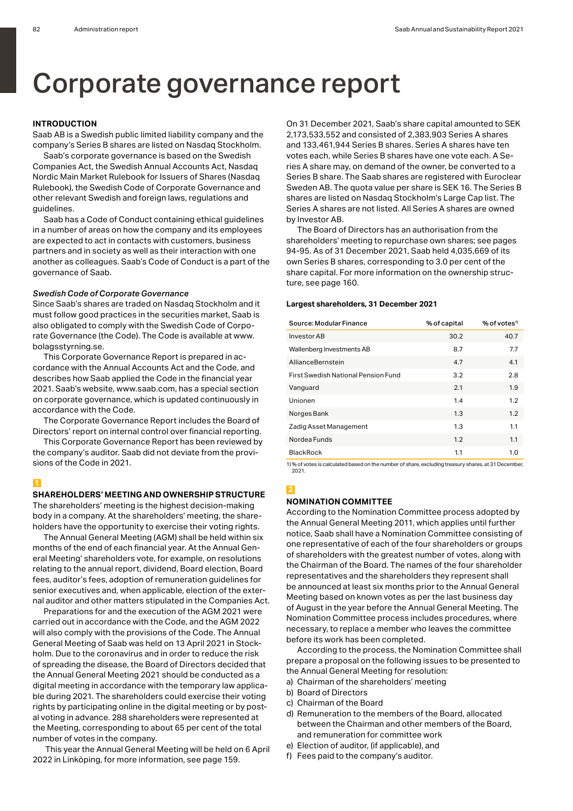## Corporate governance report

#### **INTRODUCTION**

Saab AB is a Swedish public limited liability company and the company's Series B shares are listed on Nasdaq Stockholm.

Saab's corporate governance is based on the Swedish Companies Act, the Swedish Annual Accounts Act, Nasdaq Nordic Main Market Rulebook for Issuers of Shares (Nasdaq Rulebook), the Swedish Code of Corporate Governance and other relevant Swedish and foreign laws, regulations and guidelines.

Saab has a Code of Conduct containing ethical guidelines in a number of areas on how the company and its employees are expected to act in contacts with customers, business partners and in society as well as their interaction with one another as colleagues. Saab's Code of Conduct is a part of the governance of Saab.

#### *Swedish Code of Corporate Governance*

Since Saab's shares are traded on Nasdaq Stockholm and it must follow good practices in the securities market, Saab is also obligated to comply with the Swedish Code of Corporate Governance (the Code). The Code is available at www. bolagsstyrning.se.

This Corporate Governance Report is prepared in accordance with the Annual Accounts Act and the Code, and describes how Saab applied the Code in the financial year 2021. Saab's website, www.saab.com, has a special section on corporate governance, which is updated continuously in accordance with the Code.

The Corporate Governance Report includes the Board of Directors' report on internal control over financial reporting.

This Corporate Governance Report has been reviewed by the company's auditor. Saab did not deviate from the provisions of the Code in 2021.

#### **1**

#### **SHAREHOLDERS' MEETING AND OWNERSHIP STRUCTURE**

The shareholders' meeting is the highest decision-making body in a company. At the shareholders' meeting, the shareholders have the opportunity to exercise their voting rights.

The Annual General Meeting (AGM) shall be held within six months of the end of each financial year. At the Annual General Meeting' shareholders vote, for example, on resolutions relating to the annual report, dividend, Board election, Board fees, auditor's fees, adoption of remuneration guidelines for senior executives and, when applicable, election of the external auditor and other matters stipulated in the Companies Act.

Preparations for and the execution of the AGM 2021 were carried out in accordance with the Code, and the AGM 2022 will also comply with the provisions of the Code. The Annual General Meeting of Saab was held on 13 April 2021 in Stockholm. Due to the coronavirus and in order to reduce the risk of spreading the disease, the Board of Directors decided that the Annual General Meeting 2021 should be conducted as a digital meeting in accordance with the temporary law applicable during 2021. The shareholders could exercise their voting rights by participating online in the digital meeting or by postal voting in advance. 288 shareholders were represented at the Meeting, corresponding to about 65 per cent of the total number of votes in the company.

 This year the Annual General Meeting will be held on 6 April 2022 in Linköping, for more information, see page 159.

On 31 December 2021, Saab's share capital amounted to SEK 2,173,533,552 and consisted of 2,383,903 Series A shares and 133,461,944 Series B shares. Series A shares have ten votes each, while Series B shares have one vote each. A Series A share may, on demand of the owner, be converted to a Series B share. The Saab shares are registered with Euroclear Sweden AB. The quota value per share is SEK 16. The Series B shares are listed on Nasdaq Stockholm's Large Cap list. The Series A shares are not listed. All Series A shares are owned by Investor AB.

The Board of Directors has an authorisation from the shareholders' meeting to repurchase own shares; see pages 94-95. As of 31 December 2021, Saab held 4,035,669 of its own Series B shares, corresponding to 3.0 per cent of the share capital. For more information on the ownership structure, see page 160.

#### **Largest shareholders, 31 December 2021**

| Source: Modular Finance             | % of capital | % of votes $\frac{1}{2}$ |
|-------------------------------------|--------------|--------------------------|
| Investor AB                         | 30.2         | 40.7                     |
| Wallenberg Investments AB           | 8.7          | 7.7                      |
| AllianceBernstein                   | 4.7          | 4.1                      |
| First Swedish National Pension Fund | 3.2          | 2.8                      |
| Vanguard                            | 2.1          | 1.9                      |
| Unionen                             | 1.4          | 1.2                      |
| Norges Bank                         | 1.3          | 1.2                      |
| Zadig Asset Management              | 1.3          | 1.1                      |
| Nordea Funds                        | 1.2          | 1.1                      |
| <b>BlackRock</b>                    | 1.1          | 1.0                      |
|                                     |              |                          |

1) % of votes is calculated based on the number of share, excluding treasury shares, at 31 December, 2021.

### **2**

#### **NOMINATION COMMITTEE**

According to the Nomination Committee process adopted by the Annual General Meeting 2011, which applies until further notice, Saab shall have a Nomination Committee consisting of one representative of each of the four shareholders or groups of shareholders with the greatest number of votes, along with the Chairman of the Board. The names of the four shareholder representatives and the shareholders they represent shall be announced at least six months prior to the Annual General Meeting based on known votes as per the last business day of August in the year before the Annual General Meeting. The Nomination Committee process includes procedures, where necessary, to replace a member who leaves the committee before its work has been completed.

According to the process, the Nomination Committee shall prepare a proposal on the following issues to be presented to the Annual General Meeting for resolution:

- a) Chairman of the shareholders' meeting
- b) Board of Directors
- c) Chairman of the Board
- d) Remuneration to the members of the Board, allocated between the Chairman and other members of the Board, and remuneration for committee work
- e) Election of auditor, (if applicable), and
- f) Fees paid to the company's auditor.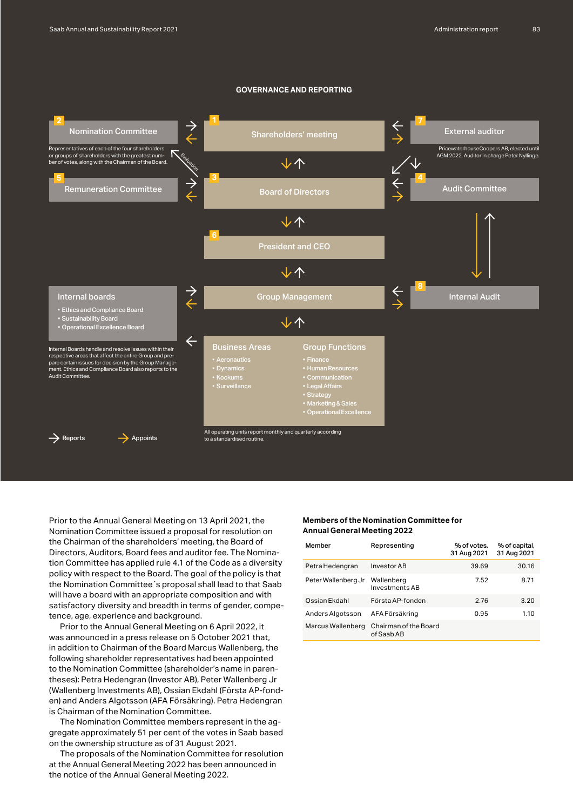#### **GOVERNANCE AND REPORTING**



Prior to the Annual General Meeting on 13 April 2021, the Nomination Committee issued a proposal for resolution on the Chairman of the shareholders' meeting, the Board of Directors, Auditors, Board fees and auditor fee. The Nomination Committee has applied rule 4.1 of the Code as a diversity policy with respect to the Board. The goal of the policy is that the Nomination Committee´s proposal shall lead to that Saab will have a board with an appropriate composition and with satisfactory diversity and breadth in terms of gender, competence, age, experience and background.

Prior to the Annual General Meeting on 6 April 2022, it was announced in a press release on 5 October 2021 that, in addition to Chairman of the Board Marcus Wallenberg, the following shareholder representatives had been appointed to the Nomination Committee (shareholder's name in parentheses): Petra Hedengran (Investor AB), Peter Wallenberg Jr (Wallenberg Investments AB), Ossian Ekdahl (Första AP-fonden) and Anders Algotsson (AFA Försäkring). Petra Hedengran is Chairman of the Nomination Committee.

The Nomination Committee members represent in the aggregate approximately 51 per cent of the votes in Saab based on the ownership structure as of 31 August 2021.

The proposals of the Nomination Committee for resolution at the Annual General Meeting 2022 has been announced in the notice of the Annual General Meeting 2022.

#### **Members of the Nomination Committee for Annual General Meeting 2022**

| Member              | Representing                        | % of votes.<br>31 Aug 2021 | % of capital,<br>31 Aug 2021 |
|---------------------|-------------------------------------|----------------------------|------------------------------|
| Petra Hedengran     | Investor AB                         | 39.69                      | 30.16                        |
| Peter Wallenberg Jr | Wallenberg<br>Investments AB        | 7.52                       | 8.71                         |
| Ossian Ekdahl       | Första AP-fonden                    | 2.76                       | 3.20                         |
| Anders Algotsson    | AFA Försäkring                      | 0.95                       | 1.10                         |
| Marcus Wallenberg   | Chairman of the Board<br>of Saab AB |                            |                              |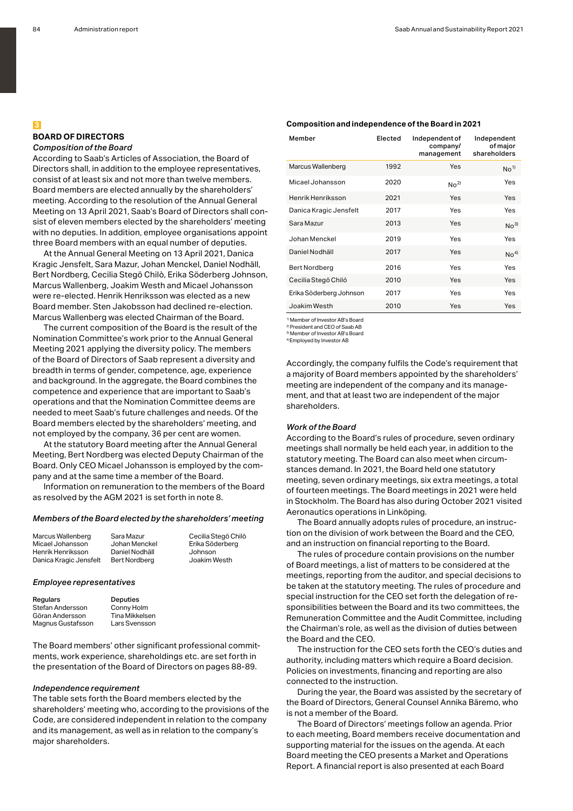#### **3 BOARD OF DIRECTORS** *Composition of the Board*

According to Saab's Articles of Association, the Board of Directors shall, in addition to the employee representatives, consist of at least six and not more than twelve members. Board members are elected annually by the shareholders' meeting. According to the resolution of the Annual General Meeting on 13 April 2021, Saab's Board of Directors shall consist of eleven members elected by the shareholders' meeting with no deputies. In addition, employee organisations appoint three Board members with an equal number of deputies.

At the Annual General Meeting on 13 April 2021, Danica Kragic Jensfelt, Sara Mazur, Johan Menckel, Daniel Nodhäll, Bert Nordberg, Cecilia Stegö Chilò, Erika Söderberg Johnson, Marcus Wallenberg, Joakim Westh and Micael Johansson were re-elected. Henrik Henriksson was elected as a new Board member. Sten Jakobsson had declined re-election. Marcus Wallenberg was elected Chairman of the Board.

The current composition of the Board is the result of the Nomination Committee's work prior to the Annual General Meeting 2021 applying the diversity policy. The members of the Board of Directors of Saab represent a diversity and breadth in terms of gender, competence, age, experience and background. In the aggregate, the Board combines the competence and experience that are important to Saab's operations and that the Nomination Committee deems are needed to meet Saab's future challenges and needs. Of the Board members elected by the shareholders' meeting, and not employed by the company, 36 per cent are women.

At the statutory Board meeting after the Annual General Meeting, Bert Nordberg was elected Deputy Chairman of the Board. Only CEO Micael Johansson is employed by the company and at the same time a member of the Board.

Information on remuneration to the members of the Board as resolved by the AGM 2021 is set forth in note 8.

#### *Members of the Board elected by the shareholders' meeting*

Marcus Wallenberg Micael Johansson Henrik Henriksson Danica Kragic Jensfelt Sara Mazur Johan Menckel Daniel Nodhäll Bert Nordberg

Cecilia Stegö Chilò Erika Söderberg Johnson Joakim Westh

#### *Employee representatives*

| Regulars          | Deputies       |
|-------------------|----------------|
| Stefan Andersson  | Conny Holm     |
| Göran Andersson   | Tina Mikkelsen |
| Magnus Gustafsson | Lars Svensson  |

The Board members' other significant professional commitments, work experience, shareholdings etc. are set forth in the presentation of the Board of Directors on pages 88-89.

#### *Independence requirement*

The table sets forth the Board members elected by the shareholders' meeting who, according to the provisions of the Code, are considered independent in relation to the company and its management, as well as in relation to the company's major shareholders.

#### **Composition and independence of the Board in 2021**

| Member                  | Elected | Independent of<br>company/<br>management | Independent<br>of major<br>shareholders |
|-------------------------|---------|------------------------------------------|-----------------------------------------|
| Marcus Wallenberg       | 1992    | Yes                                      | No <sup>1</sup>                         |
| Micael Johansson        | 2020    | No <sup>2</sup>                          | Yes                                     |
| Henrik Henriksson       | 2021    | Yes                                      | Yes                                     |
| Danica Kragic Jensfelt  | 2017    | Yes                                      | Yes                                     |
| Sara Mazur              | 2013    | Yes                                      | No <sup>3</sup>                         |
| Johan Menckel           | 2019    | Yes                                      | Yes                                     |
| Daniel Nodhäll          | 2017    | Yes                                      | No <sup>4</sup>                         |
| Bert Nordberg           | 2016    | Yes                                      | Yes                                     |
| Cecilia Stegö Chiló     | 2010    | Yes                                      | Yes                                     |
| Erika Söderberg Johnson | 2017    | Yes                                      | Yes                                     |
| Joakim Westh            | 2010    | Yes                                      | Yes                                     |

1) Member of Investor AB's Board

<sup>2)</sup> President and CEO of Saab AB <sup>3)</sup> Member of Investor AB's Board

4) Employed by Investor AB

Accordingly, the company fulfils the Code's requirement that a majority of Board members appointed by the shareholders' meeting are independent of the company and its management, and that at least two are independent of the major shareholders.

#### *Work of the Board*

According to the Board's rules of procedure, seven ordinary meetings shall normally be held each year, in addition to the statutory meeting. The Board can also meet when circumstances demand. In 2021, the Board held one statutory meeting, seven ordinary meetings, six extra meetings, a total of fourteen meetings. The Board meetings in 2021 were held in Stockholm. The Board has also during October 2021 visited Aeronautics operations in Linköping.

The Board annually adopts rules of procedure, an instruction on the division of work between the Board and the CEO, and an instruction on financial reporting to the Board.

The rules of procedure contain provisions on the number of Board meetings, a list of matters to be considered at the meetings, reporting from the auditor, and special decisions to be taken at the statutory meeting. The rules of procedure and special instruction for the CEO set forth the delegation of responsibilities between the Board and its two committees, the Remuneration Committee and the Audit Committee, including the Chairman's role, as well as the division of duties between the Board and the CEO.

The instruction for the CEO sets forth the CEO's duties and authority, including matters which require a Board decision. Policies on investments, financing and reporting are also connected to the instruction.

During the year, the Board was assisted by the secretary of the Board of Directors, General Counsel Annika Bäremo, who is not a member of the Board.

The Board of Directors' meetings follow an agenda. Prior to each meeting, Board members receive documentation and supporting material for the issues on the agenda. At each Board meeting the CEO presents a Market and Operations Report. A financial report is also presented at each Board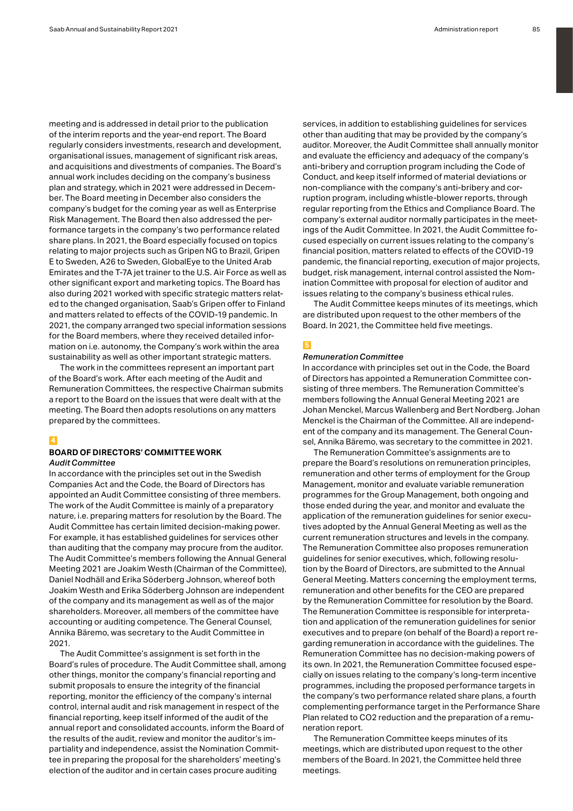meeting and is addressed in detail prior to the publication of the interim reports and the year-end report. The Board regularly considers investments, research and development, organisational issues, management of significant risk areas, and acquisitions and divestments of companies. The Board's annual work includes deciding on the company's business plan and strategy, which in 2021 were addressed in December. The Board meeting in December also considers the company's budget for the coming year as well as Enterprise Risk Management. The Board then also addressed the performance targets in the company's two performance related share plans. In 2021, the Board especially focused on topics relating to major projects such as Gripen NG to Brazil, Gripen E to Sweden, A26 to Sweden, GlobalEye to the United Arab Emirates and the T-7A jet trainer to the U.S. Air Force as well as other significant export and marketing topics. The Board has also during 2021 worked with specific strategic matters related to the changed organisation, Saab's Gripen offer to Finland and matters related to effects of the COVID-19 pandemic. In 2021, the company arranged two special information sessions for the Board members, where they received detailed information on i.e. autonomy, the Company's work within the area sustainability as well as other important strategic matters.

The work in the committees represent an important part of the Board's work. After each meeting of the Audit and Remuneration Committees, the respective Chairman submits a report to the Board on the issues that were dealt with at the meeting. The Board then adopts resolutions on any matters prepared by the committees.

#### **4**

#### **BOARD OF DIRECTORS' COMMITTEE WORK** *Audit Committee*

In accordance with the principles set out in the Swedish Companies Act and the Code, the Board of Directors has appointed an Audit Committee consisting of three members. The work of the Audit Committee is mainly of a preparatory nature, i.e. preparing matters for resolution by the Board. The Audit Committee has certain limited decision-making power. For example, it has established guidelines for services other than auditing that the company may procure from the auditor. The Audit Committee's members following the Annual General Meeting 2021 are Joakim Westh (Chairman of the Committee), Daniel Nodhäll and Erika Söderberg Johnson, whereof both Joakim Westh and Erika Söderberg Johnson are independent of the company and its management as well as of the major shareholders. Moreover, all members of the committee have accounting or auditing competence. The General Counsel, Annika Bäremo, was secretary to the Audit Committee in 2021.

The Audit Committee's assignment is set forth in the Board's rules of procedure. The Audit Committee shall, among other things, monitor the company's financial reporting and submit proposals to ensure the integrity of the financial reporting, monitor the efficiency of the company's internal control, internal audit and risk management in respect of the financial reporting, keep itself informed of the audit of the annual report and consolidated accounts, inform the Board of the results of the audit, review and monitor the auditor's impartiality and independence, assist the Nomination Committee in preparing the proposal for the shareholders' meeting's election of the auditor and in certain cases procure auditing

services, in addition to establishing guidelines for services other than auditing that may be provided by the company's auditor. Moreover, the Audit Committee shall annually monitor and evaluate the efficiency and adequacy of the company's anti-bribery and corruption program including the Code of Conduct, and keep itself informed of material deviations or non-compliance with the company's anti-bribery and corruption program, including whistle-blower reports, through regular reporting from the Ethics and Compliance Board. The company's external auditor normally participates in the meetings of the Audit Committee. In 2021, the Audit Committee focused especially on current issues relating to the company's financial position, matters related to effects of the COVID-19 pandemic, the financial reporting, execution of major projects, budget, risk management, internal control assisted the Nomination Committee with proposal for election of auditor and issues relating to the company's business ethical rules.

The Audit Committee keeps minutes of its meetings, which are distributed upon request to the other members of the Board. In 2021, the Committee held five meetings.

#### **5**

#### *Remuneration Committee*

In accordance with principles set out in the Code, the Board of Directors has appointed a Remuneration Committee consisting of three members. The Remuneration Committee's members following the Annual General Meeting 2021 are Johan Menckel, Marcus Wallenberg and Bert Nordberg. Johan Menckel is the Chairman of the Committee. All are independent of the company and its management. The General Counsel, Annika Bäremo, was secretary to the committee in 2021.

The Remuneration Committee's assignments are to prepare the Board's resolutions on remuneration principles, remuneration and other terms of employment for the Group Management, monitor and evaluate variable remuneration programmes for the Group Management, both ongoing and those ended during the year, and monitor and evaluate the application of the remuneration guidelines for senior executives adopted by the Annual General Meeting as well as the current remuneration structures and levels in the company. The Remuneration Committee also proposes remuneration guidelines for senior executives, which, following resolution by the Board of Directors, are submitted to the Annual General Meeting. Matters concerning the employment terms, remuneration and other benefits for the CEO are prepared by the Remuneration Committee for resolution by the Board. The Remuneration Committee is responsible for interpretation and application of the remuneration guidelines for senior executives and to prepare (on behalf of the Board) a report regarding remuneration in accordance with the guidelines. The Remuneration Committee has no decision-making powers of its own. In 2021, the Remuneration Committee focused especially on issues relating to the company's long-term incentive programmes, including the proposed performance targets in the company's two performance related share plans, a fourth complementing performance target in the Performance Share Plan related to CO2 reduction and the preparation of a remuneration report.

The Remuneration Committee keeps minutes of its meetings, which are distributed upon request to the other members of the Board. In 2021, the Committee held three meetings.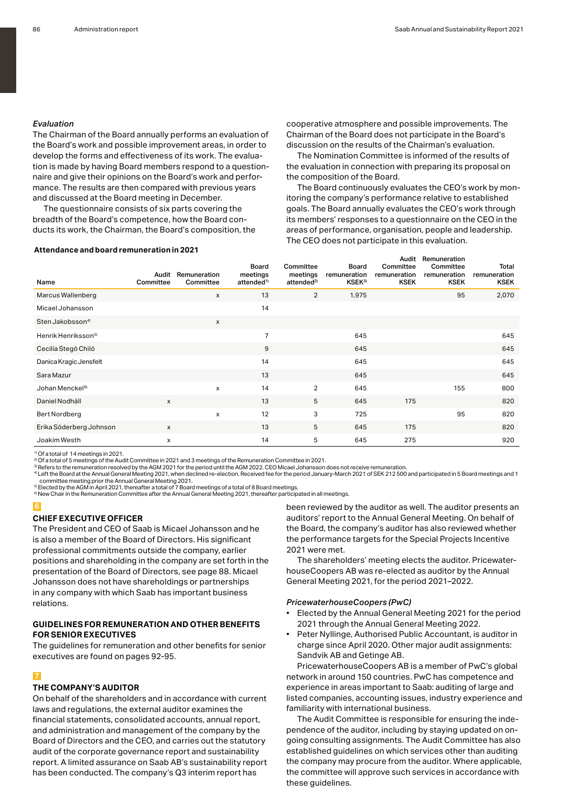#### *Evaluation*

The Chairman of the Board annually performs an evaluation of the Board's work and possible improvement areas, in order to develop the forms and effectiveness of its work. The evaluation is made by having Board members respond to a questionnaire and give their opinions on the Board's work and performance. The results are then compared with previous years and discussed at the Board meeting in December.

The questionnaire consists of six parts covering the breadth of the Board's competence, how the Board conducts its work, the Chairman, the Board's composition, the

#### **Attendance and board remuneration in 2021**

cooperative atmosphere and possible improvements. The Chairman of the Board does not participate in the Board's discussion on the results of the Chairman's evaluation.

The Nomination Committee is informed of the results of the evaluation in connection with preparing its proposal on the composition of the Board.

The Board continuously evaluates the CEO's work by monitoring the company's performance relative to established goals. The Board annually evaluates the CEO's work through its members' responses to a questionnaire on the CEO in the areas of performance, organisation, people and leadership. The CEO does not participate in this evaluation.

| Name                            | Audit<br>Committee        | Remuneration<br>Committee | <b>Board</b><br>meetings<br>attended <sup>1)</sup> | Committee<br>meetings<br>attended <sup>2)</sup> | Board<br>remuneration<br>KSEK <sup>3)</sup> | Audit<br>Committee<br>remuneration<br><b>KSEK</b> | Remuneration<br>Committee<br>remuneration<br><b>KSEK</b> | Total<br>remuneration<br><b>KSEK</b> |
|---------------------------------|---------------------------|---------------------------|----------------------------------------------------|-------------------------------------------------|---------------------------------------------|---------------------------------------------------|----------------------------------------------------------|--------------------------------------|
| Marcus Wallenberg               |                           | X                         | 13                                                 | 2                                               | 1,975                                       |                                                   | 95                                                       | 2,070                                |
| Micael Johansson                |                           |                           | 14                                                 |                                                 |                                             |                                                   |                                                          |                                      |
| Sten Jakobsson <sup>4)</sup>    |                           | X                         |                                                    |                                                 |                                             |                                                   |                                                          |                                      |
| Henrik Henriksson <sup>5)</sup> |                           |                           | $\overline{7}$                                     |                                                 | 645                                         |                                                   |                                                          | 645                                  |
| Cecilia Stegö Chiló             |                           |                           | 9                                                  |                                                 | 645                                         |                                                   |                                                          | 645                                  |
| Danica Kragic Jensfelt          |                           |                           | 14                                                 |                                                 | 645                                         |                                                   |                                                          | 645                                  |
| Sara Mazur                      |                           |                           | 13                                                 |                                                 | 645                                         |                                                   |                                                          | 645                                  |
| Johan Menckel <sup>6)</sup>     |                           | X                         | 14                                                 | $\overline{2}$                                  | 645                                         |                                                   | 155                                                      | 800                                  |
| Daniel Nodhäll                  | $\boldsymbol{\mathsf{x}}$ |                           | 13                                                 | 5                                               | 645                                         | 175                                               |                                                          | 820                                  |
| Bert Nordberg                   |                           | X                         | 12                                                 | 3                                               | 725                                         |                                                   | 95                                                       | 820                                  |
| Erika Söderberg Johnson         | $\boldsymbol{\mathsf{x}}$ |                           | 13                                                 | 5                                               | 645                                         | 175                                               |                                                          | 820                                  |
| Joakim Westh                    | X                         |                           | 14                                                 | 5                                               | 645                                         | 275                                               |                                                          | 920                                  |

1) Of a total of 14 meetings in 2021.

<sup>21</sup> Of a total of 5 meetings of the Audit Committee in 2021 and 3 meetings of the Remuneration Committee in 2021.<br><sup>3</sup> Refers to the remuneration resolved by the AGM 2021 for the period until the AGM 2022. CEO Micael Johan committee meeting prior the Annual General Meeting 2021. 5) Elected by the AGM in April 2021, thereafter a total of 7 Board meetings of a total of 8 Board meetings.

6) New Chair in the Remuneration Committee after the Annual General Meeting 2021, thereafter participated in all meetings.

#### **6**

#### **CHIEF EXECUTIVE OFFICER**

The President and CEO of Saab is Micael Johansson and he is also a member of the Board of Directors. His significant professional commitments outside the company, earlier positions and shareholding in the company are set forth in the presentation of the Board of Directors, see page 88. Micael Johansson does not have shareholdings or partnerships in any company with which Saab has important business relations.

#### **GUIDELINES FOR REMUNERATION AND OTHER BENEFITS FOR SENIOR EXECUTIVES**

The guidelines for remuneration and other benefits for senior executives are found on pages 92-95.

#### **7**

#### **THE COMPANY'S AUDITOR**

On behalf of the shareholders and in accordance with current laws and regulations, the external auditor examines the financial statements, consolidated accounts, annual report, and administration and management of the company by the Board of Directors and the CEO, and carries out the statutory audit of the corporate governance report and sustainability report. A limited assurance on Saab AB's sustainability report has been conducted. The company's Q3 interim report has

been reviewed by the auditor as well. The auditor presents an auditors' report to the Annual General Meeting. On behalf of the Board, the company's auditor has also reviewed whether the performance targets for the Special Projects Incentive 2021 were met.

The shareholders' meeting elects the auditor. PricewaterhouseCoopers AB was re-elected as auditor by the Annual General Meeting 2021, for the period 2021–2022.

#### *PricewaterhouseCoopers (PwC)*

- Elected by the Annual General Meeting 2021 for the period 2021 through the Annual General Meeting 2022.
- Peter Nyllinge, Authorised Public Accountant, is auditor in charge since April 2020. Other major audit assignments: Sandvik AB and Getinge AB.

PricewaterhouseCoopers AB is a member of PwC's global network in around 150 countries. PwC has competence and experience in areas important to Saab: auditing of large and listed companies, accounting issues, industry experience and familiarity with international business.

The Audit Committee is responsible for ensuring the independence of the auditor, including by staying updated on ongoing consulting assignments. The Audit Committee has also established guidelines on which services other than auditing the company may procure from the auditor. Where applicable, the committee will approve such services in accordance with these guidelines.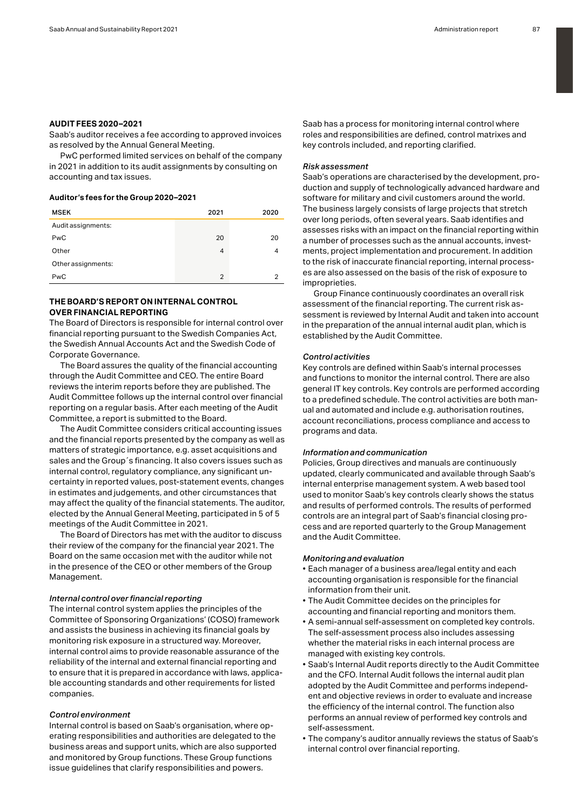#### **AUDIT FEES 2020–2021**

Saab's auditor receives a fee according to approved invoices as resolved by the Annual General Meeting.

PwC performed limited services on behalf of the company in 2021 in addition to its audit assignments by consulting on accounting and tax issues.

#### **Auditor's fees for the Group 2020–2021**

| <b>MSEK</b>        | 2021           | 2020 |
|--------------------|----------------|------|
| Audit assignments: |                |      |
| PwC                | 20             | 20   |
| Other              | 4              | 4    |
| Other assignments: |                |      |
| PwC                | $\overline{2}$ | っ    |

#### **THE BOARD'S REPORT ON INTERNAL CONTROL OVER FINANCIAL REPORTING**

The Board of Directors is responsible for internal control over financial reporting pursuant to the Swedish Companies Act, the Swedish Annual Accounts Act and the Swedish Code of Corporate Governance.

The Board assures the quality of the financial accounting through the Audit Committee and CEO. The entire Board reviews the interim reports before they are published. The Audit Committee follows up the internal control over financial reporting on a regular basis. After each meeting of the Audit Committee, a report is submitted to the Board.

The Audit Committee considers critical accounting issues and the financial reports presented by the company as well as matters of strategic importance, e.g. asset acquisitions and sales and the Group´s financing. It also covers issues such as internal control, regulatory compliance, any significant uncertainty in reported values, post-statement events, changes in estimates and judgements, and other circumstances that may affect the quality of the financial statements. The auditor, elected by the Annual General Meeting, participated in 5 of 5 meetings of the Audit Committee in 2021.

The Board of Directors has met with the auditor to discuss their review of the company for the financial year 2021. The Board on the same occasion met with the auditor while not in the presence of the CEO or other members of the Group Management.

#### *Internal control over financial reporting*

The internal control system applies the principles of the Committee of Sponsoring Organizations' (COSO) framework and assists the business in achieving its financial goals by monitoring risk exposure in a structured way. Moreover, internal control aims to provide reasonable assurance of the reliability of the internal and external financial reporting and to ensure that it is prepared in accordance with laws, applicable accounting standards and other requirements for listed companies.

#### *Control environment*

Internal control is based on Saab's organisation, where operating responsibilities and authorities are delegated to the business areas and support units, which are also supported and monitored by Group functions. These Group functions issue guidelines that clarify responsibilities and powers.

Saab has a process for monitoring internal control where roles and responsibilities are defined, control matrixes and key controls included, and reporting clarified.

#### *Risk assessment*

Saab's operations are characterised by the development, production and supply of technologically advanced hardware and software for military and civil customers around the world. The business largely consists of large projects that stretch over long periods, often several years. Saab identifies and assesses risks with an impact on the financial reporting within a number of processes such as the annual accounts, investments, project implementation and procurement. In addition to the risk of inaccurate financial reporting, internal processes are also assessed on the basis of the risk of exposure to improprieties.

Group Finance continuously coordinates an overall risk assessment of the financial reporting. The current risk assessment is reviewed by Internal Audit and taken into account in the preparation of the annual internal audit plan, which is established by the Audit Committee.

#### *Control activities*

Key controls are defined within Saab's internal processes and functions to monitor the internal control. There are also general IT key controls. Key controls are performed according to a predefined schedule. The control activities are both manual and automated and include e.g. authorisation routines, account reconciliations, process compliance and access to programs and data.

#### *Information and communication*

Policies, Group directives and manuals are continuously updated, clearly communicated and available through Saab's internal enterprise management system. A web based tool used to monitor Saab's key controls clearly shows the status and results of performed controls. The results of performed controls are an integral part of Saab's financial closing process and are reported quarterly to the Group Management and the Audit Committee.

#### *Monitoring and evaluation*

- Each manager of a business area/legal entity and each accounting organisation is responsible for the financial information from their unit.
- The Audit Committee decides on the principles for accounting and financial reporting and monitors them.
- A semi-annual self-assessment on completed key controls. The self-assessment process also includes assessing whether the material risks in each internal process are managed with existing key controls.
- Saab's Internal Audit reports directly to the Audit Committee and the CFO. Internal Audit follows the internal audit plan adopted by the Audit Committee and performs independent and objective reviews in order to evaluate and increase the efficiency of the internal control. The function also performs an annual review of performed key controls and self-assessment.
- The company's auditor annually reviews the status of Saab's internal control over financial reporting.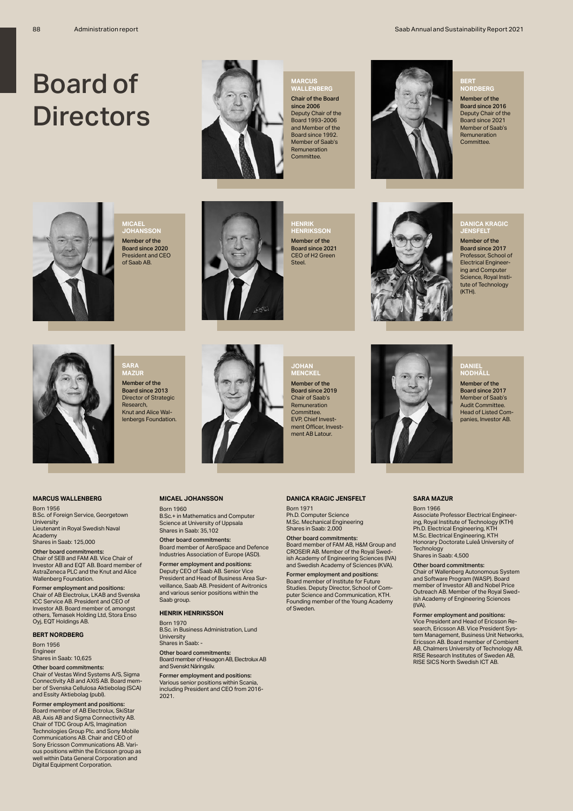# Board of **Directors**



**MICAEL JOHANSSON** Member of the Board since 2020 President and CEO of Saab AB.



**MARCUS WALLENBERG** Chair of the Board since 2006 Deputy Chair of the Board 1993-2006 and Member of the Board since 1992. Member of Saab's

**Committee** 

**HENRIK HENRIKSSON** Member of the Board since 2021 CEO of H<sub>2</sub> Green Steel.



### **BERT NORDBERG**

Member of the Board since 2016 Deputy Chair of the Board since 2021 Member of Saab's Remuneration Committee.



**DANICA KRAGIC JENSFELT** Member of the Board since 2017 Professor, School of Electrical Engineering and Computer Science, Royal Insti-tute of Technology (KTH).



**SARA MAZUR** Member of the Board since 2013 Director of Strategic **Research** Knut and Alice Wallenbergs Foundation.



**JOHAN MENCKEL** Member of the Board since 2019 Chair of Saab's Remuneration<br>Committee Committee. EVP, Chief Investment Officer, Investment AB Latour

#### **DANICA KRAGIC JENSFELT**

Born 1971

Board member of FAM AB, H&M Group and CROSEIR AB. Member of the Royal Swed-



### **DANIEL NODHÄLL**

Member of the Board since 2017 Member of Saab's Audit Committee. Head of Listed Companies, Investor AB.

#### **MARCUS WALLENBERG**

Born 1956 B.Sc. of Foreign Service, Georgetown University Lieutenant in Royal Swedish Naval Academy Shares in Saab: 125,000

Other board commitments: Chair of SEB and FAM AB. Vice Chair of Investor AB and EQT AB. Board member of AstraZeneca PLC and the Knut and Alice Wallenberg Foundation.

Former employment and positions: Chair of AB Electrolux, LKAB and Svenska ICC Service AB. President and CEO of Investor AB. Board member of, amongst others, Temasek Holding Ltd, Stora Enso Oyj, EQT Holdings AB.

#### **BERT NORDBERG**

Born 1956 Engineer Shares in Saab: 10,625

Other board commitments: Chair of Vestas Wind Systems A/S, Sigma Connectivity AB and AXIS AB. Board member of Svenska Cellulosa Aktiebolag (SCA) and Essity Aktiebolag (publ).

Former employment and positions: Board member of AB Electrolux, SkiStar AB, Axis AB and Sigma Connectivity AB. Chair of TDC Group A/S, Imagination Technologies Group Plc. and Sony Mobile Communications AB. Chair and CEO of Sony Ericsson Communications AB. Various positions within the Ericsson group as well within Data General Corporation and Digital Equipment Corporation.

#### **MICAEL JOHANSSON**

Born 1960 B.Sc.+ in Mathematics and Computer Science at University of Uppsala Shares in Saab: 35,102

Other board commitments: Board member of AeroSpace and Defence Industries Association of Europe (ASD).

Former employment and positions: Deputy CEO of Saab AB. Senior Vice President and Head of Business Area Surveillance, Saab AB. President of Avitronics and various senior positions within the Saab group.

#### **HENRIK HENRIKSSON**

Born 1970 B.Sc. in Business Administration, Lund University Shares in Saab:

Other board commitments: Board member of Hexagon AB, Electrolux AB and Svenskt Näringsliv.

Former employment and positions: Various senior positions within Scania, including President and CEO from 2016- 2021.

## Ph.D. Computer Science

#### M.Sc. Mechanical Engineering Shares in Saab: 2,000 Other board commitments:

ish Academy of Engineering Sciences (IVA) and Swedish Academy of Sciences (KVA).

Former employment and positions: Board member of Institute for Future Studies. Deputy Director, School of Computer Science and Communication, KTH. Founding member of the Young Academy of Sweden.

#### **SARA MAZUR**

Born 1966 Associate Professor Electrical Engineering, Royal Institute of Technology (KTH) Ph.D. Electrical Engineering, KTH M.Sc. Electrical Engineering, KTH Honorary Doctorate Luleå University of Technology Shares in Saab: 4,500

### Other board commitments:

Chair of Wallenberg Autonomous System and Software Program (WASP). Board member of Investor AB and Nobel Price Outreach AB. Member of the Royal Swedish Academy of Engineering Sciences (IVA).

Former employment and positions: Vice President and Head of Ericsson Re-search, Ericsson AB. Vice President System Management, Business Unit Networks, Ericsson AB. Board member of Combient AB, Chalmers University of Technology AB, RISE Research Institutes of Sweden AB, RISE SICS North Swedish ICT AB.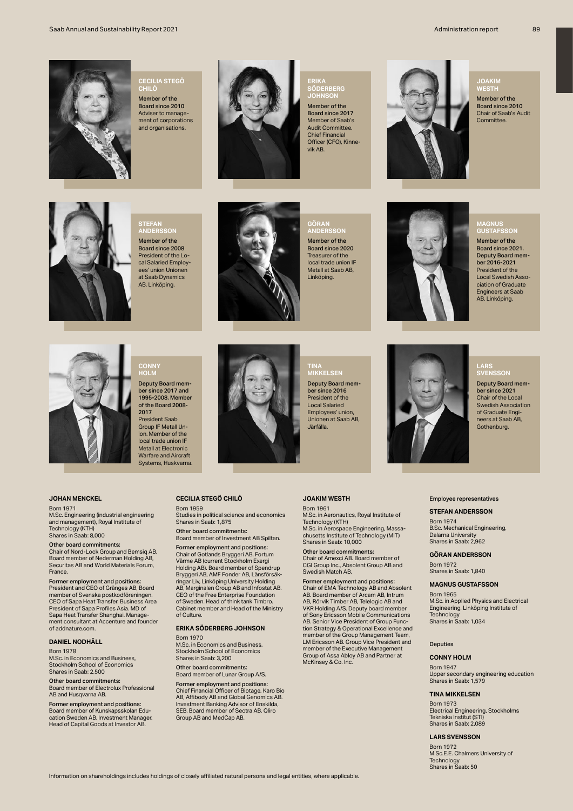



**CECILIA STEGÖ CHILÒ** Member of the Board since 2010 Adviser to management of corporations and organisations.



**ERIKA SÖDERBERG JOHNSON** Member of the Board since 2017 Member of Saab's Audit Committee. Chief Financial Officer (CFO), Kinne-vik AB.



Member of the Board since 2010 Chair of Saab's Audit Committee.



**STEFAN ANDERSSON** Member of the Board since 2008 President of the Local Salaried Employees' union Unionen at Saab Dynamics AB, Linköping.



**GÖRAN ANDERSSON** Member of the Board since 2020 Treasurer of the local trade union IF Metall at Saab AB, Linköping.



## **MAGNUS GUSTAFSSON**

Member of the Board since 2021. Deputy Board member 2016-2021 President of the Local Swedish Association of Graduate Engineers at Saab AB, Linköping.



## **CONNY HOLM**

Deputy Board member since 2017 and 1995-2008. Member of the Board 2008- 2017

President Saab Group IF Metall Union. Member of the local trade union IF Metall at Electronic Warfare and Aircraft Systems, Huskvarna.



#### **JOHAN MENCKEL**

Born 1971

M.Sc. Engineering (industrial engineering and management), Royal Institute of Technology (KTH)<br>Shares in Saab: 8,000

#### Other board commitments:

Chair of Nord-Lock Group and Bemsiq AB. Board member of Nederman Holding AB, Securitas AB and World Materials Forum, France.

Former employment and positions: President and CEO of Gränges AB, Board member of Svenska postkodföreningen. CEO of Sapa Heat Transfer. Business Area President of Sapa Profiles Asia. MD of Sapa Heat Transfer Shanghai. Manage-ment consultant at Accenture and founder of addnature.com.

#### **DANIEL NODHÄLL**

Born 1978

M.Sc. in Economics and Business, Stockholm School of Economics Shares in Saab: 2,500

Other board commitments: Board member of Electrolux Professional AB and Husqvarna AB.

Former employment and positions: Board member of Kunskapsskolan Education Sweden AB. Investment Manager, Head of Capital Goods at Investor AB.

### **CECILIA STEGÖ CHILÒ**

Born 1959 Studies in political science and economics Shares in Saab: 1,875

Other board commitments: Board member of Investment AB Spiltan.

Former employment and positions: Chair of Gotlands Bryggeri AB, Fortum Värme AB (current Stockholm Exergi Holding AB). Board member of Spendrup Bryggeri AB, AMF Fonder AB, Länsförsäk-ringar Liv, Linköping University Holding AB, Marginalen Group AB and Infostat AB. CEO of the Free Enterprise Foundation of Sweden. Head of think tank Timbro. Cabinet member and Head of the Ministry of Culture.

#### **ERIKA SÖDERBERG JOHNSON**

**Born 1970**<br>M.Sc. in Economics and Business M.Sc. in Economics and Business, Stockholm School of Economics Shares in Saab: 3,200

Other board commitments: Board member of Lunar Group A/S. Former employment and positions: Chief Financial Officer of Biotage, Karo Bio AB, Affibody AB and Global Genomics AB. Investment Banking Advisor of Enskilda, SEB. Board member of Sectra AB, Qliro Group AB and MedCap AB.



**TINA MIKKELSEN** Deputy Board member since 2016 President of the Local Salaried Employees' union, Unionen at Saab AB, Järfälla.

Born 1961

M.Sc. in Aeronautics, Royal Institute of Technology (KTH) M.Sc. in Aerospace Engineering, Massa-chusetts Institute of Technology (MIT) Shares in Saab: 10,000

Other board commitments: Chair of Amexci AB. Board member of CGI Group Inc., Absolent Group AB and Swedish Match AB.

Former employment and positions: Chair of EMA Technology AB and Absolent AB. Board member of Arcam AB, Intrum AB, Rörvik Timber AB, Telelogic AB and VKR Holding A/S. Deputy board member of Sony Ericsson Mobile Communications AB. Senior Vice President of Group Function Strategy & Operational Excellence and member of the Group Management Team, LM Ericsson AB. Group Vice President and member of the Executive Management Group of Assa Abloy AB and Partner at McKinsey & Co. Inc.



## **LARS SVENSSON**

Deputy Board member since 2021 Chair of the Local Swedish Association of Graduate Engineers at Saab AB, Gothenburg.

Employee representatives

#### **STEFAN ANDERSSON**

Born 1974 B.Sc. Mechanical Engineering, Dalarna University Shares in Saab: 2,962

**GÖRAN ANDERSSON** Born 1972

Shares in Saab: 1,840

### **MAGNUS GUSTAFSSON**

Born 1965 M.Sc. in Applied Physics and Electrical Engineering, Linköping Institute of Technology Shares in Saab: 1,034

#### Deputies

**CONNY HOLM**

Born 1947 Upper secondary engineering education Shares in Saab: 1,579

#### **TINA MIKKELSEN**

Born 1973 Electrical Engineering, Stockholms Tekniska Institut (STI) Shares in Saab: 2,089

#### **LARS SVENSSON**

Born 1972 M.Sc.E.E. Chalmers University of Technology Shares in Saab: 50

Information on shareholdings includes holdings of closely affiliated natural persons and legal entities, where applicable.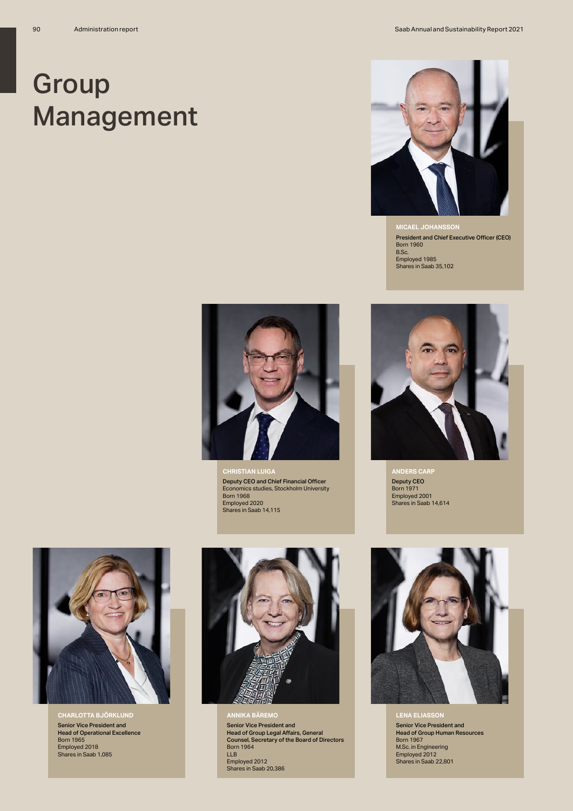90 Administration report Saab Annual and Sustainability Report 2021

# **Group** Management



**MICAEL JOHANSSON** President and Chief Executive Officer (CEO) Born 1960 B.Sc. Employed 1985 Shares in Saab 35,102



**CHRISTIAN LUIGA** Deputy CEO and Chief Financial Officer Economics studies, Stockholm University Born 1968 Employed 2020 Shares in Saab 14,115



Deputy CEO Born 1971 Employed 2001 Shares in Saab 14,614



**CHARLOTTA BJÖRKLUND** Senior Vice President and Head of Operational Excellence Born 1965 Employed 2018 Shares in Saab 1,085



**ANNIKA BÄREMO** Senior Vice President and Head of Group Legal Affairs, General Counsel, Secretary of the Board of Directors Born 1964 LLB Employed 2012 Shares in Saab 20,386



**LENA ELIASSON** Senior Vice President and Head of Group Human Resources Born 1967 M.Sc. in Engineering Employed 2012 Shares in Saab 22,801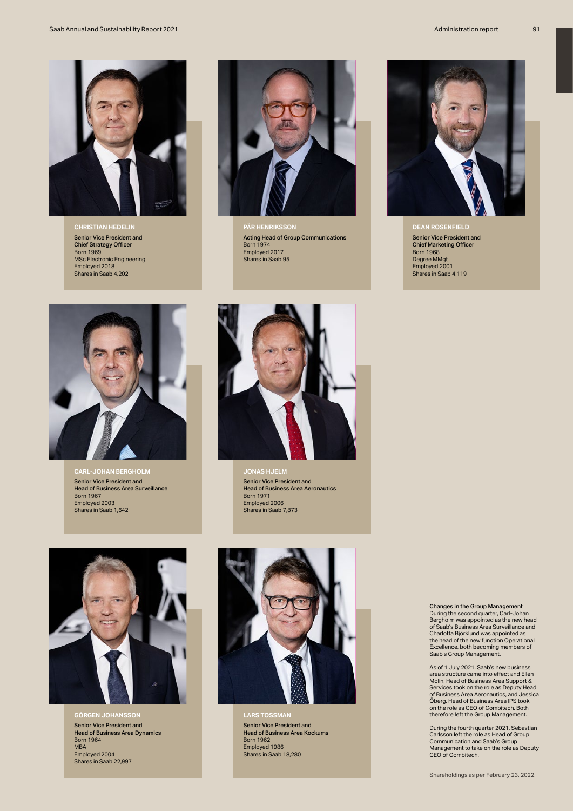

**CHRISTIAN HEDELIN** Senior Vice President and Chief Strategy Officer Born 1969 MSc Electronic Engineering Employed 2018 Shares in Saab 4,202



**PÄR HENRIKSSON** Acting Head of Group Communications Born 1974 Employed 2017 Shares in Saab 95



**DEAN ROSENFIELD** Senior Vice President and Chief Marketing Officer Born 1968 Degree MMgt Employed 2001 Shares in Saab 4,119



**CAN BERGHOLM** Senior Vice President and Head of Business Area Surveillance<br>Born 1967 Born 1967 Employed 2003 Shares in Saab 1,642



**JONAS HJELM** Senior Vice President and **Head of Business Area Aeronautics**<br>Born 1971 Born 1971 Employed 2006 Shares in Saab 7,873



**GÖRGEN JOHANSSON** Senior Vice President and Head of Business Area Dynamics Born 1964 **MBA** Employed 2004 Shares in Saab 22,997



**LARS TOSSMAN** Senior Vice President and Head of Business Area Kockums<br>Born 1962 Born 1962 Employed 1986 Shares in Saab 18,280

Changes in the Group Management During the second quarter, Carl-Johan Bergholm was appointed as the new head of Saab's Business Area Surveillance and Charlotta Björklund was appointed as the head of the new function Operational Excellence, both becoming members of Saab's Group Management.

As of 1 July 2021, Saab's new business area structure came into effect and Ellen Molin, Head of Business Area Support & Services took on the role as Deputy Head of Business Area Aeronautics, and Jessica Öberg, Head of Business Area IPS took on the role as CEO of Combitech. Both therefore left the Group Management.

During the fourth quarter 2021, Sebastian Carlsson left the role as Head of Group Communication and Saab's Group Management to take on the role as Deputy CEO of Combitech.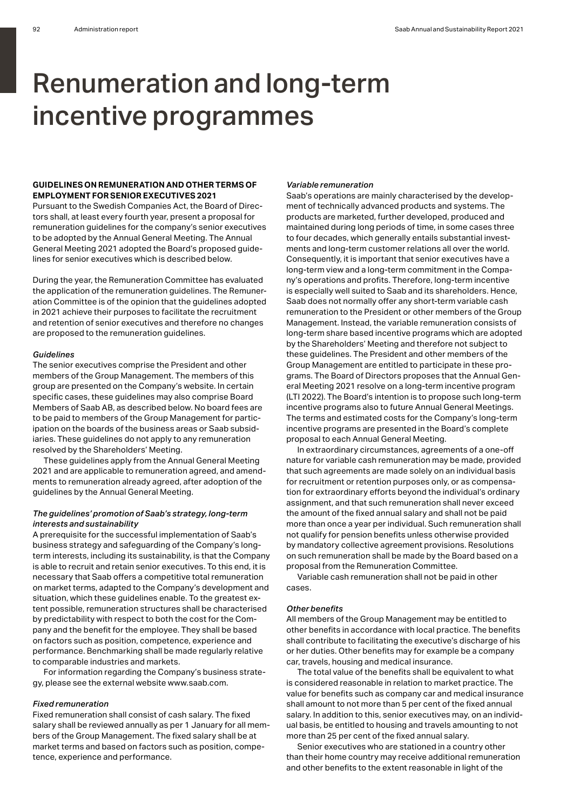## Renumeration and long-term incentive programmes

#### **GUIDELINES ON REMUNERATION AND OTHER TERMS OF EMPLOYMENT FOR SENIOR EXECUTIVES 2021**

Pursuant to the Swedish Companies Act, the Board of Directors shall, at least every fourth year, present a proposal for remuneration guidelines for the company's senior executives to be adopted by the Annual General Meeting. The Annual General Meeting 2021 adopted the Board's proposed guidelines for senior executives which is described below.

During the year, the Remuneration Committee has evaluated the application of the remuneration guidelines. The Remuneration Committee is of the opinion that the guidelines adopted in 2021 achieve their purposes to facilitate the recruitment and retention of senior executives and therefore no changes are proposed to the remuneration guidelines.

#### *Guidelines*

The senior executives comprise the President and other members of the Group Management. The members of this group are presented on the Company's website. In certain specific cases, these guidelines may also comprise Board Members of Saab AB, as described below. No board fees are to be paid to members of the Group Management for participation on the boards of the business areas or Saab subsidiaries. These guidelines do not apply to any remuneration resolved by the Shareholders' Meeting.

These guidelines apply from the Annual General Meeting 2021 and are applicable to remuneration agreed, and amendments to remuneration already agreed, after adoption of the guidelines by the Annual General Meeting.

#### *The guidelines' promotion of Saab's strategy, long-term interests and sustainability*

A prerequisite for the successful implementation of Saab's business strategy and safeguarding of the Company's longterm interests, including its sustainability, is that the Company is able to recruit and retain senior executives. To this end, it is necessary that Saab offers a competitive total remuneration on market terms, adapted to the Company's development and situation, which these guidelines enable. To the greatest extent possible, remuneration structures shall be characterised by predictability with respect to both the cost for the Company and the benefit for the employee. They shall be based on factors such as position, competence, experience and performance. Benchmarking shall be made regularly relative to comparable industries and markets.

For information regarding the Company's business strategy, please see the external website www.saab.com.

#### *Fixed remuneration*

Fixed remuneration shall consist of cash salary. The fixed salary shall be reviewed annually as per 1 January for all members of the Group Management. The fixed salary shall be at market terms and based on factors such as position, competence, experience and performance.

#### *Variable remuneration*

Saab's operations are mainly characterised by the development of technically advanced products and systems. The products are marketed, further developed, produced and maintained during long periods of time, in some cases three to four decades, which generally entails substantial investments and long-term customer relations all over the world. Consequently, it is important that senior executives have a long-term view and a long-term commitment in the Company's operations and profits. Therefore, long-term incentive is especially well suited to Saab and its shareholders. Hence, Saab does not normally offer any short-term variable cash remuneration to the President or other members of the Group Management. Instead, the variable remuneration consists of long-term share based incentive programs which are adopted by the Shareholders' Meeting and therefore not subject to these guidelines. The President and other members of the Group Management are entitled to participate in these programs. The Board of Directors proposes that the Annual General Meeting 2021 resolve on a long-term incentive program (LTI 2022). The Board's intention is to propose such long-term incentive programs also to future Annual General Meetings. The terms and estimated costs for the Company's long-term incentive programs are presented in the Board's complete proposal to each Annual General Meeting.

In extraordinary circumstances, agreements of a one-off nature for variable cash remuneration may be made, provided that such agreements are made solely on an individual basis for recruitment or retention purposes only, or as compensation for extraordinary efforts beyond the individual's ordinary assignment, and that such remuneration shall never exceed the amount of the fixed annual salary and shall not be paid more than once a year per individual. Such remuneration shall not qualify for pension benefits unless otherwise provided by mandatory collective agreement provisions. Resolutions on such remuneration shall be made by the Board based on a proposal from the Remuneration Committee.

Variable cash remuneration shall not be paid in other cases.

#### *Other benefits*

All members of the Group Management may be entitled to other benefits in accordance with local practice. The benefits shall contribute to facilitating the executive's discharge of his or her duties. Other benefits may for example be a company car, travels, housing and medical insurance.

The total value of the benefits shall be equivalent to what is considered reasonable in relation to market practice. The value for benefits such as company car and medical insurance shall amount to not more than 5 per cent of the fixed annual salary. In addition to this, senior executives may, on an individual basis, be entitled to housing and travels amounting to not more than 25 per cent of the fixed annual salary.

Senior executives who are stationed in a country other than their home country may receive additional remuneration and other benefits to the extent reasonable in light of the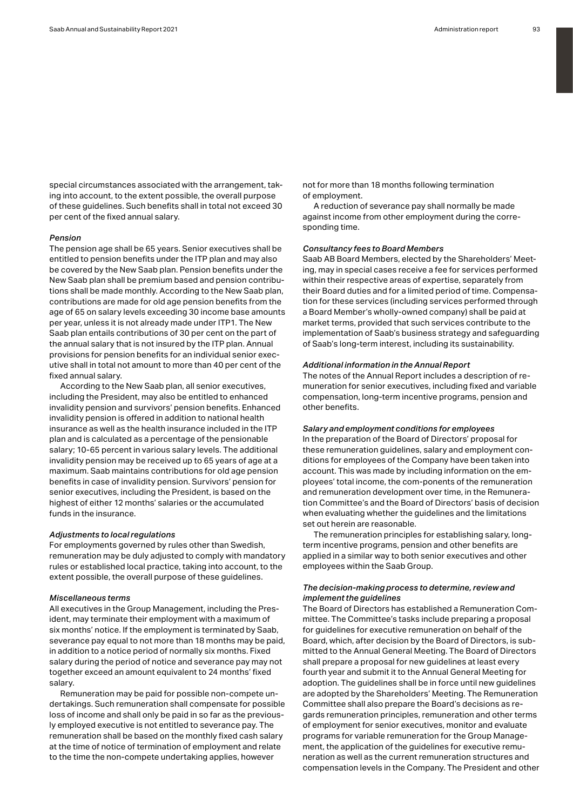special circumstances associated with the arrangement, taking into account, to the extent possible, the overall purpose of these guidelines. Such benefits shall in total not exceed 30 per cent of the fixed annual salary.

#### *Pension*

The pension age shall be 65 years. Senior executives shall be entitled to pension benefits under the ITP plan and may also be covered by the New Saab plan. Pension benefits under the New Saab plan shall be premium based and pension contributions shall be made monthly. According to the New Saab plan, contributions are made for old age pension benefits from the age of 65 on salary levels exceeding 30 income base amounts per year, unless it is not already made under ITP1. The New Saab plan entails contributions of 30 per cent on the part of the annual salary that is not insured by the ITP plan. Annual provisions for pension benefits for an individual senior executive shall in total not amount to more than 40 per cent of the fixed annual salary.

According to the New Saab plan, all senior executives, including the President, may also be entitled to enhanced invalidity pension and survivors' pension benefits. Enhanced invalidity pension is offered in addition to national health insurance as well as the health insurance included in the ITP plan and is calculated as a percentage of the pensionable salary; 10-65 percent in various salary levels. The additional invalidity pension may be received up to 65 years of age at a maximum. Saab maintains contributions for old age pension benefits in case of invalidity pension. Survivors' pension for senior executives, including the President, is based on the highest of either 12 months' salaries or the accumulated funds in the insurance.

#### *Adjustments to local regulations*

For employments governed by rules other than Swedish, remuneration may be duly adjusted to comply with mandatory rules or established local practice, taking into account, to the extent possible, the overall purpose of these guidelines.

#### *Miscellaneous terms*

All executives in the Group Management, including the President, may terminate their employment with a maximum of six months' notice. If the employment is terminated by Saab, severance pay equal to not more than 18 months may be paid, in addition to a notice period of normally six months. Fixed salary during the period of notice and severance pay may not together exceed an amount equivalent to 24 months' fixed salary.

Remuneration may be paid for possible non-compete undertakings. Such remuneration shall compensate for possible loss of income and shall only be paid in so far as the previously employed executive is not entitled to severance pay. The remuneration shall be based on the monthly fixed cash salary at the time of notice of termination of employment and relate to the time the non-compete undertaking applies, however

not for more than 18 months following termination of employment.

A reduction of severance pay shall normally be made against income from other employment during the corresponding time.

#### *Consultancy fees to Board Members*

Saab AB Board Members, elected by the Shareholders' Meeting, may in special cases receive a fee for services performed within their respective areas of expertise, separately from their Board duties and for a limited period of time. Compensation for these services (including services performed through a Board Member's wholly-owned company) shall be paid at market terms, provided that such services contribute to the implementation of Saab's business strategy and safeguarding of Saab's long-term interest, including its sustainability.

#### *Additional information in the Annual Report*

The notes of the Annual Report includes a description of remuneration for senior executives, including fixed and variable compensation, long-term incentive programs, pension and other benefits.

#### *Salary and employment conditions for employees*

In the preparation of the Board of Directors' proposal for these remuneration guidelines, salary and employment conditions for employees of the Company have been taken into account. This was made by including information on the employees' total income, the com-ponents of the remuneration and remuneration development over time, in the Remuneration Committee's and the Board of Directors' basis of decision when evaluating whether the guidelines and the limitations set out herein are reasonable.

The remuneration principles for establishing salary, longterm incentive programs, pension and other benefits are applied in a similar way to both senior executives and other employees within the Saab Group.

#### *The decision-making process to determine, review and implement the guidelines*

The Board of Directors has established a Remuneration Committee. The Committee's tasks include preparing a proposal for guidelines for executive remuneration on behalf of the Board, which, after decision by the Board of Directors, is submitted to the Annual General Meeting. The Board of Directors shall prepare a proposal for new guidelines at least every fourth year and submit it to the Annual General Meeting for adoption. The guidelines shall be in force until new guidelines are adopted by the Shareholders' Meeting. The Remuneration Committee shall also prepare the Board's decisions as regards remuneration principles, remuneration and other terms of employment for senior executives, monitor and evaluate programs for variable remuneration for the Group Management, the application of the guidelines for executive remuneration as well as the current remuneration structures and compensation levels in the Company. The President and other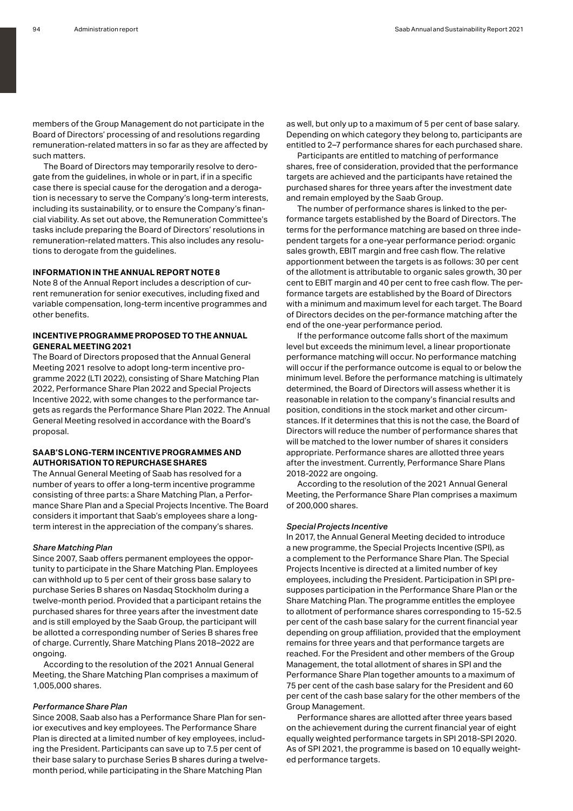members of the Group Management do not participate in the Board of Directors' processing of and resolutions regarding remuneration-related matters in so far as they are affected by such matters.

The Board of Directors may temporarily resolve to derogate from the guidelines, in whole or in part, if in a specific case there is special cause for the derogation and a derogation is necessary to serve the Company's long-term interests, including its sustainability, or to ensure the Company's financial viability. As set out above, the Remuneration Committee's tasks include preparing the Board of Directors' resolutions in remuneration-related matters. This also includes any resolutions to derogate from the guidelines.

#### **INFORMATION IN THE ANNUAL REPORT NOTE 8**

Note 8 of the Annual Report includes a description of current remuneration for senior executives, including fixed and variable compensation, long-term incentive programmes and other benefits.

#### **INCENTIVE PROGRAMME PROPOSED TO THE ANNUAL GENERAL MEETING 2021**

The Board of Directors proposed that the Annual General Meeting 2021 resolve to adopt long-term incentive programme 2022 (LTI 2022), consisting of Share Matching Plan 2022, Performance Share Plan 2022 and Special Projects Incentive 2022, with some changes to the performance targets as regards the Performance Share Plan 2022. The Annual General Meeting resolved in accordance with the Board's proposal.

#### **SAAB'S LONG-TERM INCENTIVE PROGRAMMES AND AUTHORISATION TO REPURCHASE SHARES**

The Annual General Meeting of Saab has resolved for a number of years to offer a long-term incentive programme consisting of three parts: a Share Matching Plan, a Performance Share Plan and a Special Projects Incentive. The Board considers it important that Saab's employees share a longterm interest in the appreciation of the company's shares.

#### *Share Matching Plan*

Since 2007, Saab offers permanent employees the opportunity to participate in the Share Matching Plan. Employees can withhold up to 5 per cent of their gross base salary to purchase Series B shares on Nasdaq Stockholm during a twelve-month period. Provided that a participant retains the purchased shares for three years after the investment date and is still employed by the Saab Group, the participant will be allotted a corresponding number of Series B shares free of charge. Currently, Share Matching Plans 2018–2022 are ongoing.

According to the resolution of the 2021 Annual General Meeting, the Share Matching Plan comprises a maximum of 1,005,000 shares.

#### *Performance Share Plan*

Since 2008, Saab also has a Performance Share Plan for senior executives and key employees. The Performance Share Plan is directed at a limited number of key employees, including the President. Participants can save up to 7.5 per cent of their base salary to purchase Series B shares during a twelvemonth period, while participating in the Share Matching Plan

as well, but only up to a maximum of 5 per cent of base salary. Depending on which category they belong to, participants are entitled to 2–7 performance shares for each purchased share.

Participants are entitled to matching of performance shares, free of consideration, provided that the performance targets are achieved and the participants have retained the purchased shares for three years after the investment date and remain employed by the Saab Group.

The number of performance shares is linked to the performance targets established by the Board of Directors. The terms for the performance matching are based on three independent targets for a one-year performance period: organic sales growth, EBIT margin and free cash flow. The relative apportionment between the targets is as follows: 30 per cent of the allotment is attributable to organic sales growth, 30 per cent to EBIT margin and 40 per cent to free cash flow. The performance targets are established by the Board of Directors with a minimum and maximum level for each target. The Board of Directors decides on the per-formance matching after the end of the one-year performance period.

If the performance outcome falls short of the maximum level but exceeds the minimum level, a linear proportionate performance matching will occur. No performance matching will occur if the performance outcome is equal to or below the minimum level. Before the performance matching is ultimately determined, the Board of Directors will assess whether it is reasonable in relation to the company's financial results and position, conditions in the stock market and other circumstances. If it determines that this is not the case, the Board of Directors will reduce the number of performance shares that will be matched to the lower number of shares it considers appropriate. Performance shares are allotted three years after the investment. Currently, Performance Share Plans 2018-2022 are ongoing.

According to the resolution of the 2021 Annual General Meeting, the Performance Share Plan comprises a maximum of 200,000 shares.

#### *Special Projects Incentive*

In 2017, the Annual General Meeting decided to introduce a new programme, the Special Projects Incentive (SPI), as a complement to the Performance Share Plan. The Special Projects Incentive is directed at a limited number of key employees, including the President. Participation in SPI presupposes participation in the Performance Share Plan or the Share Matching Plan. The programme entitles the employee to allotment of performance shares corresponding to 15-52.5 per cent of the cash base salary for the current financial year depending on group affiliation, provided that the employment remains for three years and that performance targets are reached. For the President and other members of the Group Management, the total allotment of shares in SPI and the Performance Share Plan together amounts to a maximum of 75 per cent of the cash base salary for the President and 60 per cent of the cash base salary for the other members of the Group Management.

Performance shares are allotted after three years based on the achievement during the current financial year of eight equally weighted performance targets in SPI 2018-SPI 2020. As of SPI 2021, the programme is based on 10 equally weighted performance targets.